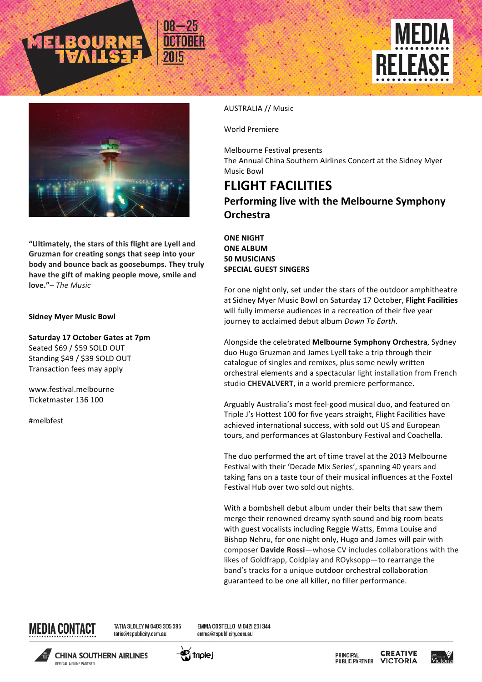





"Ultimately, the stars of this flight are Lyell and Gruzman for creating songs that seep into your body and bounce back as goosebumps. They truly have the gift of making people move, smile and **love."**– *The Music*

## **Sidney Myer Music Bowl**

**Saturday 17 October Gates at 7pm** Seated \$69 / \$59 SOLD OUT Standing \$49 / \$39 SOLD OUT Transaction fees may apply

www.festival.melbourne Ticketmaster 136 100

#melbfest

## AUSTRALIA // Music

World Premiere

Melbourne Festival presents The Annual China Southern Airlines Concert at the Sidney Myer Music Bowl

## **FLIGHT FACILITIES Performing live with the Melbourne Symphony Orchestra**

## **ONE NIGHT ONE ALBUM 50 MUSICIANS SPECIAL GUEST SINGERS**

For one night only, set under the stars of the outdoor amphitheatre at Sidney Myer Music Bowl on Saturday 17 October, Flight Facilities will fully immerse audiences in a recreation of their five year journey to acclaimed debut album *Down* To Earth.

Alongside the celebrated Melbourne Symphony Orchestra, Sydney duo Hugo Gruzman and James Lyell take a trip through their catalogue of singles and remixes, plus some newly written orchestral elements and a spectacular light installation from French studio **CHEVALVERT**, in a world premiere performance.

Arguably Australia's most feel-good musical duo, and featured on Triple J's Hottest 100 for five years straight, Flight Facilities have achieved international success, with sold out US and European tours, and performances at Glastonbury Festival and Coachella.

The duo performed the art of time travel at the 2013 Melbourne Festival with their 'Decade Mix Series', spanning 40 years and taking fans on a taste tour of their musical influences at the Foxtel Festival Hub over two sold out nights.

With a bombshell debut album under their belts that saw them merge their renowned dreamy synth sound and big room beats with guest vocalists including Reggie Watts, Emma Louise and Bishop Nehru, for one night only, Hugo and James will pair with composer **Davide Rossi**—whose CV includes collaborations with the likes of Goldfrapp, Coldplay and ROyksopp-to rearrange the band's tracks for a unique outdoor orchestral collaboration guaranteed to be one all killer, no filler performance.



TATIA SLOLEY M 0403 305 395 tatia@tspublicity.com.au

EMMA COSTELLO M 042| 20| 344 emma@tspublicity.com.au





**CREATIVE** PRINCIPAL **PUBLIC PARTNER VICTORIA**